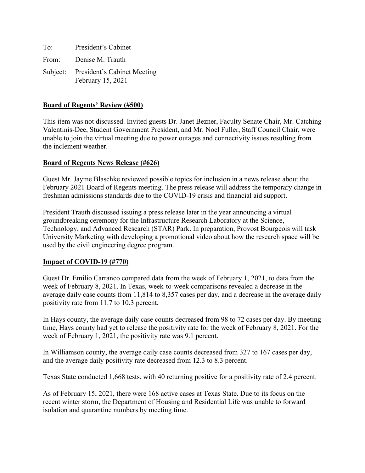| To: | President's Cabinet                                       |
|-----|-----------------------------------------------------------|
|     | From: Denise M. Trauth                                    |
|     | Subject: President's Cabinet Meeting<br>February 15, 2021 |

### **Board of Regents' Review (#500)**

This item was not discussed. Invited guests Dr. Janet Bezner, Faculty Senate Chair, Mr. Catching Valentinis-Dee, Student Government President, and Mr. Noel Fuller, Staff Council Chair, were unable to join the virtual meeting due to power outages and connectivity issues resulting from the inclement weather.

#### **Board of Regents News Release (#626)**

Guest Mr. Jayme Blaschke reviewed possible topics for inclusion in a news release about the February 2021 Board of Regents meeting. The press release will address the temporary change in freshman admissions standards due to the COVID-19 crisis and financial aid support.

President Trauth discussed issuing a press release later in the year announcing a virtual groundbreaking ceremony for the Infrastructure Research Laboratory at the Science, Technology, and Advanced Research (STAR) Park. In preparation, Provost Bourgeois will task University Marketing with developing a promotional video about how the research space will be used by the civil engineering degree program.

#### **Impact of COVID-19 (#770)**

Guest Dr. Emilio Carranco compared data from the week of February 1, 2021, to data from the week of February 8, 2021. In Texas, week-to-week comparisons revealed a decrease in the average daily case counts from 11,814 to 8,357 cases per day, and a decrease in the average daily positivity rate from 11.7 to 10.3 percent.

In Hays county, the average daily case counts decreased from 98 to 72 cases per day. By meeting time, Hays county had yet to release the positivity rate for the week of February 8, 2021. For the week of February 1, 2021, the positivity rate was 9.1 percent.

In Williamson county, the average daily case counts decreased from 327 to 167 cases per day, and the average daily positivity rate decreased from 12.3 to 8.3 percent.

Texas State conducted 1,668 tests, with 40 returning positive for a positivity rate of 2.4 percent.

As of February 15, 2021, there were 168 active cases at Texas State. Due to its focus on the recent winter storm, the Department of Housing and Residential Life was unable to forward isolation and quarantine numbers by meeting time.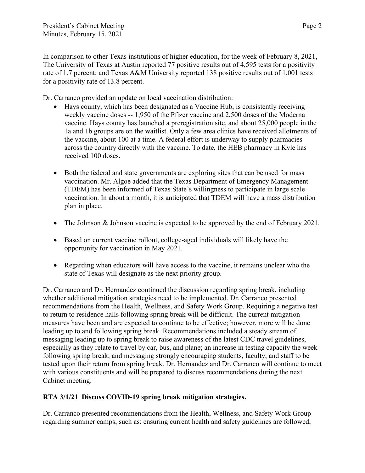In comparison to other Texas institutions of higher education, for the week of February 8, 2021, The University of Texas at Austin reported 77 positive results out of 4,595 tests for a positivity rate of 1.7 percent; and Texas A&M University reported 138 positive results out of 1,001 tests for a positivity rate of 13.8 percent.

Dr. Carranco provided an update on local vaccination distribution:

- Hays county, which has been designated as a Vaccine Hub, is consistently receiving weekly vaccine doses -- 1,950 of the Pfizer vaccine and 2,500 doses of the Moderna vaccine. Hays county has launched a preregistration site, and about 25,000 people in the 1a and 1b groups are on the waitlist. Only a few area clinics have received allotments of the vaccine, about 100 at a time. A federal effort is underway to supply pharmacies across the country directly with the vaccine. To date, the HEB pharmacy in Kyle has received 100 doses.
- Both the federal and state governments are exploring sites that can be used for mass vaccination. Mr. Algoe added that the Texas Department of Emergency Management (TDEM) has been informed of Texas State's willingness to participate in large scale vaccination. In about a month, it is anticipated that TDEM will have a mass distribution plan in place.
- The Johnson & Johnson vaccine is expected to be approved by the end of February 2021.
- Based on current vaccine rollout, college-aged individuals will likely have the opportunity for vaccination in May 2021.
- Regarding when educators will have access to the vaccine, it remains unclear who the state of Texas will designate as the next priority group.

Dr. Carranco and Dr. Hernandez continued the discussion regarding spring break, including whether additional mitigation strategies need to be implemented. Dr. Carranco presented recommendations from the Health, Wellness, and Safety Work Group. Requiring a negative test to return to residence halls following spring break will be difficult. The current mitigation measures have been and are expected to continue to be effective; however, more will be done leading up to and following spring break. Recommendations included a steady stream of messaging leading up to spring break to raise awareness of the latest CDC travel guidelines, especially as they relate to travel by car, bus, and plane; an increase in testing capacity the week following spring break; and messaging strongly encouraging students, faculty, and staff to be tested upon their return from spring break. Dr. Hernandez and Dr. Carranco will continue to meet with various constituents and will be prepared to discuss recommendations during the next Cabinet meeting.

# **RTA 3/1/21 Discuss COVID-19 spring break mitigation strategies.**

Dr. Carranco presented recommendations from the Health, Wellness, and Safety Work Group regarding summer camps, such as: ensuring current health and safety guidelines are followed,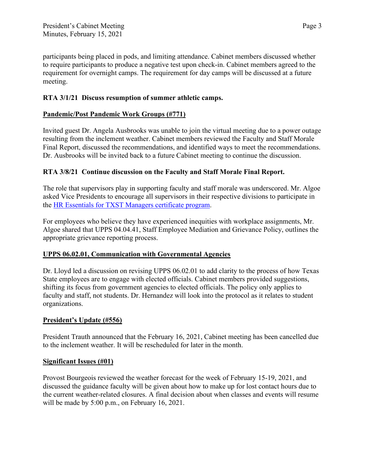participants being placed in pods, and limiting attendance. Cabinet members discussed whether to require participants to produce a negative test upon check-in. Cabinet members agreed to the requirement for overnight camps. The requirement for day camps will be discussed at a future meeting.

## **RTA 3/1/21 Discuss resumption of summer athletic camps.**

## **Pandemic/Post Pandemic Work Groups (#771)**

Invited guest Dr. Angela Ausbrooks was unable to join the virtual meeting due to a power outage resulting from the inclement weather. Cabinet members reviewed the Faculty and Staff Morale Final Report, discussed the recommendations, and identified ways to meet the recommendations. Dr. Ausbrooks will be invited back to a future Cabinet meeting to continue the discussion.

## **RTA 3/8/21 Continue discussion on the Faculty and Staff Morale Final Report.**

The role that supervisors play in supporting faculty and staff morale was underscored. Mr. Algoe asked Vice Presidents to encourage all supervisors in their respective divisions to participate in the [HR Essentials for TXST Managers certificate program.](https://www.hr.txstate.edu/odc/employee-certifications/hressentials.html)

For employees who believe they have experienced inequities with workplace assignments, Mr. Algoe shared that UPPS 04.04.41, Staff Employee Mediation and Grievance Policy, outlines the appropriate grievance reporting process.

## **UPPS 06.02.01, Communication with Governmental Agencies**

Dr. Lloyd led a discussion on revising UPPS 06.02.01 to add clarity to the process of how Texas State employees are to engage with elected officials. Cabinet members provided suggestions, shifting its focus from government agencies to elected officials. The policy only applies to faculty and staff, not students. Dr. Hernandez will look into the protocol as it relates to student organizations.

## **President's Update (#556)**

President Trauth announced that the February 16, 2021, Cabinet meeting has been cancelled due to the inclement weather. It will be rescheduled for later in the month.

## **Significant Issues (#01)**

Provost Bourgeois reviewed the weather forecast for the week of February 15-19, 2021, and discussed the guidance faculty will be given about how to make up for lost contact hours due to the current weather-related closures. A final decision about when classes and events will resume will be made by 5:00 p.m., on February 16, 2021.